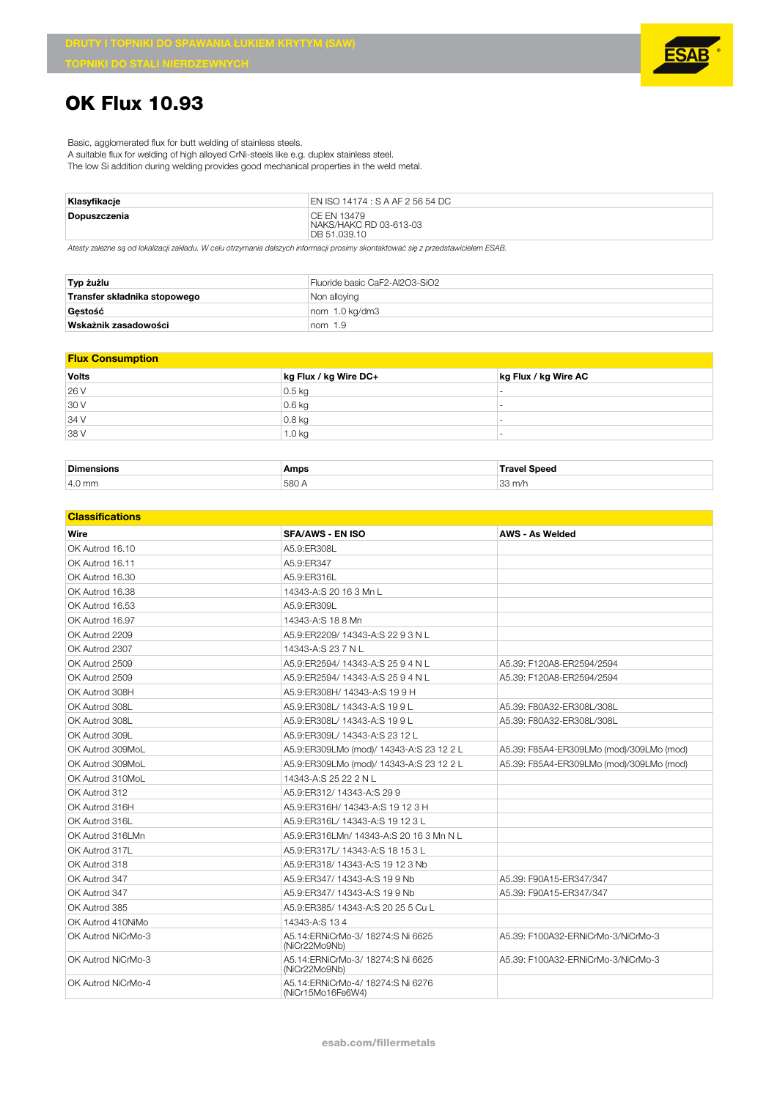

## **OK Flux 10.93**

Basic, agglomerated flux for butt welding of stainless steels.

A suitable flux for welding of high alloyed CrNi-steels like e.g. duplex stainless steel.

The low Si addition during welding provides good mechanical properties in the weld metal.

| Klasyfikacje | EN ISO 14174 : S A AF 2 56 54 DC                      |
|--------------|-------------------------------------------------------|
| Dopuszczenia | CE EN 13479<br>NAKS/HAKC RD 03-613-03<br>DB 51.039.10 |

*Atesty zależne są od lokalizacji zakładu. W celu otrzymania dalszych informacji prosimy skontaktować się z przedstawicielem ESAB.*

| Typ żużlu                    | Fluoride basic CaF2-Al2O3-SiO2 |
|------------------------------|--------------------------------|
| Transfer składnika stopowego | Non alloying                   |
| Gestość                      | nom 1.0 kg/dm3                 |
| Wskażnik zasadowości         | nom $1.9$                      |

## **Flux Consumption**

| <b>Volts</b> | kg Flux / kg Wire DC+ | kg Flux / kg Wire AC |
|--------------|-----------------------|----------------------|
| 26 V         | $0.5$ kg              |                      |
| 30 V         | $0.6$ kg              |                      |
| 34 V         | $0.8$ kg              |                      |
| 38 V         | 1.0 <sub>kg</sub>     |                      |

| Dime <sup>1</sup><br>none | Amps                 | Sneec                  |  |
|---------------------------|----------------------|------------------------|--|
| 4.0 mm                    | $-00$<br>'580 ⊁<br>. | $\sim$<br>m/<br>ັ<br>. |  |

| <b>Classifications</b> |                                                        |                                          |
|------------------------|--------------------------------------------------------|------------------------------------------|
| Wire                   | SFA/AWS - EN ISO                                       | AWS - As Welded                          |
| OK Autrod 16.10        | A5.9:ER308L                                            |                                          |
| OK Autrod 16.11        | A5.9:ER347                                             |                                          |
| OK Autrod 16.30        | A5.9:ER316L                                            |                                          |
| OK Autrod 16.38        | 14343-A:S 20 16 3 Mn L                                 |                                          |
| OK Autrod 16.53        | A5.9:ER309L                                            |                                          |
| OK Autrod 16.97        | 14343-A:S 18 8 Mn                                      |                                          |
| OK Autrod 2209         | A5.9:ER2209/ 14343-A:S 22 9 3 N L                      |                                          |
| OK Autrod 2307         | 14343-A:S 23 7 N L                                     |                                          |
| OK Autrod 2509         | A5.9:ER2594/ 14343-A:S 25 9 4 N L                      | A5.39: F120A8-ER2594/2594                |
| OK Autrod 2509         | A5.9:ER2594/ 14343-A:S 25 9 4 N L                      | A5.39: F120A8-ER2594/2594                |
| OK Autrod 308H         | A5.9:ER308H/ 14343-A:S 19 9 H                          |                                          |
| OK Autrod 308L         | A5.9:ER308L/ 14343-A:S 19 9 L                          | A5.39: F80A32-ER308L/308L                |
| OK Autrod 308L         | A5.9:ER308L/ 14343-A:S 19 9 L                          | A5.39: F80A32-ER308L/308L                |
| OK Autrod 309L         | A5.9:ER309L/ 14343-A:S 23 12 L                         |                                          |
| OK Autrod 309MoL       | A5.9:ER309LMo (mod)/ 14343-A:S 23 12 2 L               | A5.39: F85A4-ER309LMo (mod)/309LMo (mod) |
| OK Autrod 309MoL       | A5.9:ER309LMo (mod)/ 14343-A:S 23 12 2 L               | A5.39: F85A4-ER309LMo (mod)/309LMo (mod) |
| OK Autrod 310MoL       | 14343-A:S 25 22 2 N L                                  |                                          |
| OK Autrod 312          | A5.9:ER312/ 14343-A:S 29 9                             |                                          |
| OK Autrod 316H         | A5.9:ER316H/ 14343-A:S 19 12 3 H                       |                                          |
| OK Autrod 316L         | A5.9:ER316L/ 14343-A:S 19 12 3 L                       |                                          |
| OK Autrod 316LMn       | A5.9:ER316LMn/ 14343-A:S 20 16 3 Mn N L                |                                          |
| OK Autrod 317L         | A5.9:ER317L/ 14343-A:S 18 15 3 L                       |                                          |
| OK Autrod 318          | A5.9:ER318/ 14343-A:S 19 12 3 Nb                       |                                          |
| OK Autrod 347          | A5.9:ER347/ 14343-A:S 19 9 Nb                          | A5.39: F90A15-ER347/347                  |
| OK Autrod 347          | A5.9:ER347/ 14343-A:S 19 9 Nb                          | A5.39: F90A15-ER347/347                  |
| OK Autrod 385          | A5.9:ER385/ 14343-A:S 20 25 5 Cu L                     |                                          |
| OK Autrod 410NiMo      | 14343-A:S 134                                          |                                          |
| OK Autrod NiCrMo-3     | A5.14:ERNiCrMo-3/ 18274:S Ni 6625<br>(NiCr22Mo9Nb)     | A5.39: F100A32-ERNiCrMo-3/NiCrMo-3       |
| OK Autrod NiCrMo-3     | A5.14:ERNiCrMo-3/ 18274:S Ni 6625<br>(NiCr22Mo9Nb)     | A5.39: F100A32-ERNiCrMo-3/NiCrMo-3       |
| OK Autrod NiCrMo-4     | A5.14:ERNiCrMo-4/ 18274:S Ni 6276<br>(NiCr15Mo16Fe6W4) |                                          |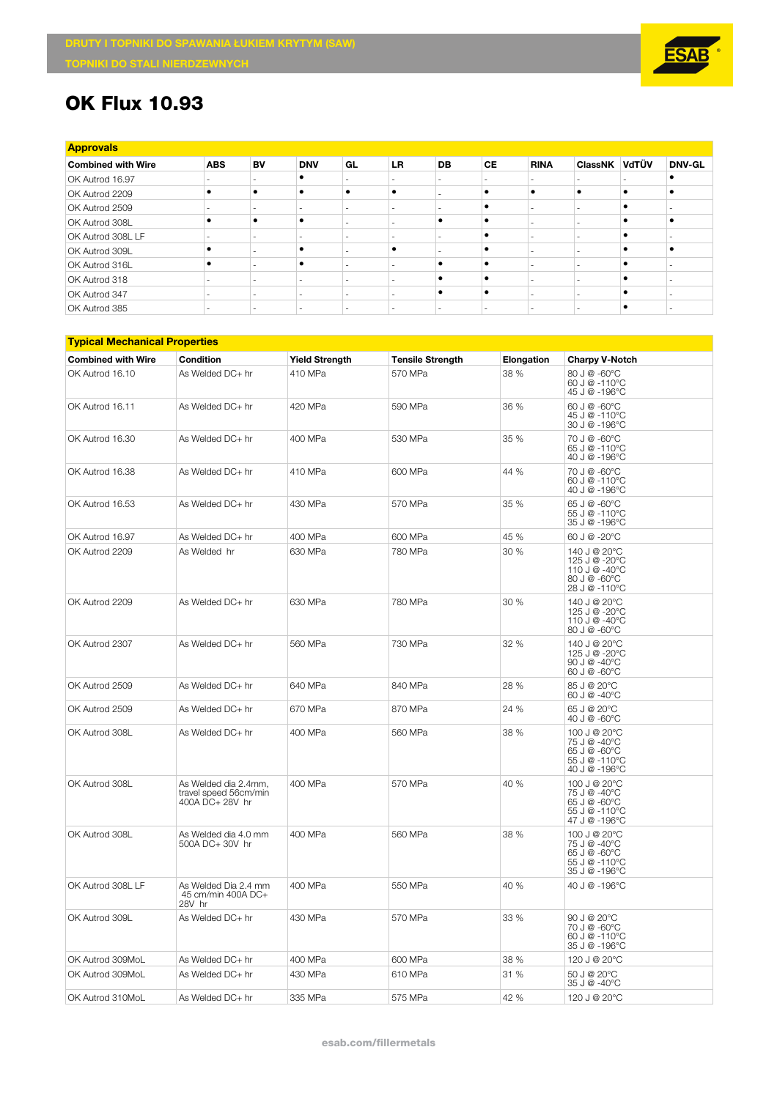

## **OK Flux 10.93**

| <b>Approvals</b> |  |
|------------------|--|

| <b>Approvais</b>          |                          |    |            |                          |           |           |                          |             |               |               |
|---------------------------|--------------------------|----|------------|--------------------------|-----------|-----------|--------------------------|-------------|---------------|---------------|
| <b>Combined with Wire</b> | <b>ABS</b>               | BV | <b>DNV</b> | GL                       | <b>LR</b> | <b>DB</b> | <b>CE</b>                | <b>RINA</b> | ClassNK VdTÜV | <b>DNV-GL</b> |
| OK Autrod 16.97           |                          |    |            |                          |           |           |                          |             |               |               |
| OK Autrod 2209            | ٠                        |    |            | $\bullet$                |           |           |                          | ٠           |               |               |
| OK Autrod 2509            |                          |    |            | $\overline{\phantom{a}}$ |           |           |                          |             |               |               |
| OK Autrod 308L            | ٠                        |    |            | -                        |           |           |                          |             |               |               |
| OK Autrod 308L LF         |                          |    |            |                          |           |           |                          |             |               |               |
| OK Autrod 309L            | ٠                        |    |            | -                        |           |           |                          |             |               |               |
| OK Autrod 316L            | ٠                        |    |            |                          |           |           |                          |             |               |               |
| OK Autrod 318             | -                        |    |            | -                        |           |           |                          |             |               |               |
| OK Autrod 347             | $\overline{\phantom{a}}$ |    |            | $\overline{\phantom{a}}$ |           |           |                          |             |               |               |
| OK Autrod 385             | $\overline{\phantom{a}}$ |    |            | $\overline{\phantom{a}}$ |           | ۰         | $\overline{\phantom{a}}$ |             |               |               |

| <b>Typical Mechanical Properties</b> |                                                                  |                       |                         |            |                                                                                 |  |  |  |  |
|--------------------------------------|------------------------------------------------------------------|-----------------------|-------------------------|------------|---------------------------------------------------------------------------------|--|--|--|--|
| <b>Combined with Wire</b>            | Condition                                                        | <b>Yield Strength</b> | <b>Tensile Strength</b> | Elongation | <b>Charpy V-Notch</b>                                                           |  |  |  |  |
| OK Autrod 16.10                      | As Welded DC+ hr                                                 | 410 MPa               | 570 MPa                 | 38 %       | 80 J @ -60°C<br>60 J @ -110°C<br>45 J @ -196°C                                  |  |  |  |  |
| OK Autrod 16.11                      | As Welded DC+ hr                                                 | 420 MPa               | 590 MPa                 | 36 %       | 60 J @ -60°C<br>45 J @ -110°C<br>30 J @ -196°C                                  |  |  |  |  |
| OK Autrod 16.30                      | As Welded DC+ hr                                                 | 400 MPa               | 530 MPa                 | 35 %       | 70 J @ -60°C<br>65 J @ -110°C<br>40 J @ -196°C                                  |  |  |  |  |
| OK Autrod 16.38                      | As Welded DC+ hr                                                 | 410 MPa               | 600 MPa                 | 44 %       | 70 J @ -60°C<br>60 J @ -110°C<br>40 J @ -196°C                                  |  |  |  |  |
| OK Autrod 16.53                      | As Welded DC+ hr                                                 | 430 MPa               | 570 MPa                 | 35 %       | 65 J @ -60°C<br>55 J @ -110°C<br>35 J @ -196°C                                  |  |  |  |  |
| OK Autrod 16.97                      | As Welded DC+ hr                                                 | 400 MPa               | 600 MPa                 | 45 %       | 60 J @ -20°C                                                                    |  |  |  |  |
| OK Autrod 2209                       | As Welded hr                                                     | 630 MPa               | 780 MPa                 | 30 %       | 140 J @ 20°C<br>125 J @ -20°C<br>110 J @ -40°C<br>80 J @ -60°C<br>28 J @ -110°C |  |  |  |  |
| OK Autrod 2209                       | As Welded DC+ hr                                                 | 630 MPa               | 780 MPa                 | 30 %       | 140 J @ 20°C<br>125 J @ -20°C<br>110 J @ -40°C<br>80 J @ -60°C                  |  |  |  |  |
| OK Autrod 2307                       | As Welded DC+ hr                                                 | 560 MPa               | 730 MPa                 | 32 %       | 140 J @ 20°C<br>125 J @ -20°C<br>90 J @ -40°C<br>$60J@ - 60°C$                  |  |  |  |  |
| OK Autrod 2509                       | As Welded DC+ hr                                                 | 640 MPa               | 840 MPa                 | 28 %       | 85 J @ 20°C<br>60 J @ -40°C                                                     |  |  |  |  |
| OK Autrod 2509                       | As Welded DC+ hr                                                 | 670 MPa               | 870 MPa                 | 24 %       | 65 J @ 20°C<br>40 J @ -60°C                                                     |  |  |  |  |
| OK Autrod 308L                       | As Welded DC+ hr                                                 | 400 MPa               | 560 MPa                 | 38 %       | 100 J @ 20°C<br>75 J @ -40°C<br>65 J @ -60°C<br>55 J @ -110°C<br>40 J @ -196°C  |  |  |  |  |
| OK Autrod 308L                       | As Welded dia 2.4mm.<br>travel speed 56cm/min<br>400A DC+ 28V hr | 400 MPa               | 570 MPa                 | 40 %       | 100 J @ 20°C<br>75 J @ -40°C<br>65 J @ -60°C<br>55 J @ -110°C<br>47 J @ -196°C  |  |  |  |  |
| OK Autrod 308L                       | As Welded dia 4.0 mm<br>500A DC+ 30V hr                          | 400 MPa               | 560 MPa                 | 38 %       | 100 J @ 20°C<br>75 J @ -40°C<br>65 J @ -60°C<br>55 J @ -110°C<br>35 J @ -196°C  |  |  |  |  |
| OK Autrod 308L LF                    | As Welded Dia 2.4 mm<br>45 cm/min 400A DC+<br>28V hr             | 400 MPa               | 550 MPa                 | 40 %       | 40 J @ -196°C                                                                   |  |  |  |  |
| OK Autrod 309L                       | As Welded DC+ hr                                                 | 430 MPa               | 570 MPa                 | 33 %       | 90 J @ 20°C<br>70 J @ -60°C<br>60 J @ -110°C<br>35 J @ -196°C                   |  |  |  |  |
| OK Autrod 309MoL                     | As Welded DC+ hr                                                 | 400 MPa               | 600 MPa                 | 38 %       | 120 J @ 20°C                                                                    |  |  |  |  |
| OK Autrod 309MoL                     | As Welded DC+ hr                                                 | 430 MPa               | 610 MPa                 | 31 %       | 50 J @ 20°C<br>35 J @ -40°C                                                     |  |  |  |  |
| OK Autrod 310MoL                     | As Welded DC+ hr                                                 | 335 MPa               | 575 MPa                 | 42 %       | 120 J @ 20°C                                                                    |  |  |  |  |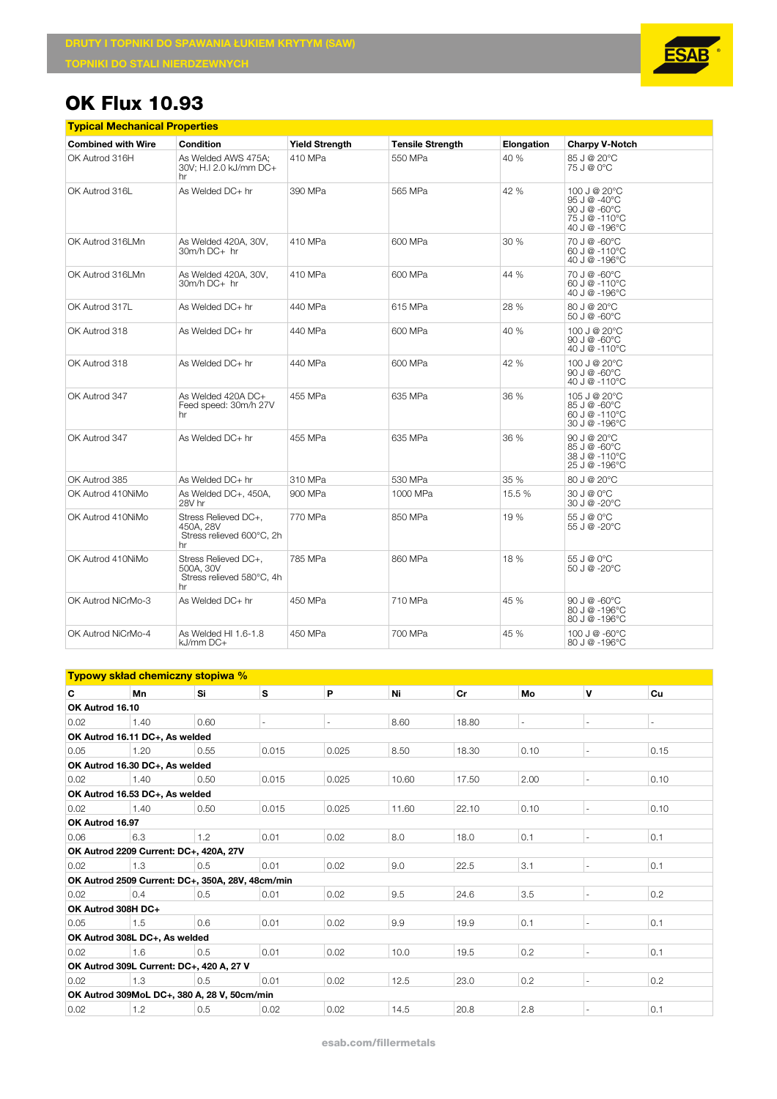

## **OK Flux 10.93**

|                           | <b>Typical Mechanical Properties</b>                                 |                       |                         |            |                                                                                           |  |  |  |  |  |  |
|---------------------------|----------------------------------------------------------------------|-----------------------|-------------------------|------------|-------------------------------------------------------------------------------------------|--|--|--|--|--|--|
| <b>Combined with Wire</b> | Condition                                                            | <b>Yield Strength</b> | <b>Tensile Strength</b> | Elongation | <b>Charpy V-Notch</b>                                                                     |  |  |  |  |  |  |
| OK Autrod 316H            | As Welded AWS 475A:<br>30V; H.I 2.0 kJ/mm DC+<br>hr                  | 410 MPa               | 550 MPa                 | 40 %       | 85 J @ 20°C<br>75 J @ 0°C                                                                 |  |  |  |  |  |  |
| OK Autrod 316L            | As Welded DC+ hr                                                     | 390 MPa               | 565 MPa                 | 42 %       | 100 J @ 20°C<br>95 J @ -40°C<br>90 J $@ - 60^{\circ}$ C<br>75 J @ -110°C<br>40 J @ -196°C |  |  |  |  |  |  |
| OK Autrod 316LMn          | As Welded 420A, 30V,<br>30m/h DC+ hr                                 | 410 MPa               | 600 MPa                 | 30 %       | 70 J @ -60°C<br>60 J @ -110°C<br>40 J @ -196°C                                            |  |  |  |  |  |  |
| OK Autrod 316LMn          | As Welded 420A, 30V,<br>30m/h DC+ hr                                 | 410 MPa               | 600 MPa                 | 44 %       | 70 J @ -60°C<br>60 J @ -110°C<br>40 J @ -196°C                                            |  |  |  |  |  |  |
| OK Autrod 317L            | As Welded DC+ hr                                                     | 440 MPa               | 615 MPa                 | 28 %       | 80 J @ 20°C<br>50 J @ -60°C                                                               |  |  |  |  |  |  |
| OK Autrod 318             | As Welded DC+ hr                                                     | 440 MPa               | 600 MPa                 | 40 %       | 100 J @ 20°C<br>$90 J @ -60°C$<br>40 J @ -110°C                                           |  |  |  |  |  |  |
| OK Autrod 318             | As Welded DC+ hr                                                     | 440 MPa               | 600 MPa                 | 42 %       | 100 J @ 20°C<br>90 J $@ - 60^{\circ}$ C<br>40 J @ -110°C                                  |  |  |  |  |  |  |
| OK Autrod 347             | As Welded 420A DC+<br>Feed speed: 30m/h 27V<br>hr                    | 455 MPa               | 635 MPa                 | 36 %       | 105 J @ 20°C<br>85 J @ -60°C<br>60 J @ -110°C<br>30 J @ -196°C                            |  |  |  |  |  |  |
| OK Autrod 347             | As Welded DC+ hr                                                     | 455 MPa               | 635 MPa                 | 36 %       | 90 J @ 20°C<br>85 J @ -60°C<br>38 J @ -110°C<br>25 J @ -196°C                             |  |  |  |  |  |  |
| OK Autrod 385             | As Welded DC+ hr                                                     | 310 MPa               | 530 MPa                 | 35 %       | 80 J @ 20°C                                                                               |  |  |  |  |  |  |
| OK Autrod 410NiMo         | As Welded DC+, 450A,<br>28V hr                                       | 900 MPa               | 1000 MPa                | 15.5 %     | 30 J @ 0°C<br>30 J @ -20°C                                                                |  |  |  |  |  |  |
| OK Autrod 410NiMo         | Stress Relieved DC+,<br>450A. 28V<br>Stress relieved 600°C, 2h<br>hr | 770 MPa               | 850 MPa                 | 19 %       | 55 J @ 0°C<br>55 J @ -20°C                                                                |  |  |  |  |  |  |
| OK Autrod 410NiMo         | Stress Relieved DC+.<br>500A, 30V<br>Stress relieved 580°C, 4h<br>hr | 785 MPa               | 860 MPa                 | 18%        | 55 J @ 0°C<br>50 J @ -20°C                                                                |  |  |  |  |  |  |
| OK Autrod NiCrMo-3        | As Welded DC+ hr                                                     | 450 MPa               | 710 MPa                 | 45 %       | $90 J @ -60°C$<br>80 J @ -196°C<br>80 J @ -196°C                                          |  |  |  |  |  |  |
| OK Autrod NiCrMo-4        | As Welded HI 1.6-1.8<br>kJ/mm DC+                                    | 450 MPa               | 700 MPa                 | 45 %       | 100 J @ -60°C<br>80 J @ -196°C                                                            |  |  |  |  |  |  |

|                                | Typowy skład chemiczny stopiwa %                 |      |       |        |       |       |                |                          |        |  |  |
|--------------------------------|--------------------------------------------------|------|-------|--------|-------|-------|----------------|--------------------------|--------|--|--|
| C                              | Mn                                               | Si   | s     | P      | Ni    | Cr    | Mo             | v                        | Cu     |  |  |
| OK Autrod 16.10                |                                                  |      |       |        |       |       |                |                          |        |  |  |
| 0.02                           | 1.40                                             | 0.60 | ٠     | $\sim$ | 8.60  | 18.80 | $\overline{a}$ | ٠                        | $\sim$ |  |  |
| OK Autrod 16.11 DC+, As welded |                                                  |      |       |        |       |       |                |                          |        |  |  |
| 0.05                           | 1.20                                             | 0.55 | 0.015 | 0.025  | 8.50  | 18.30 | 0.10           | ÷,                       | 0.15   |  |  |
|                                | OK Autrod 16.30 DC+, As welded                   |      |       |        |       |       |                |                          |        |  |  |
| 0.02                           | 1.40                                             | 0.50 | 0.015 | 0.025  | 10.60 | 17.50 | 2.00           | $\sim$                   | 0.10   |  |  |
|                                | OK Autrod 16.53 DC+, As welded                   |      |       |        |       |       |                |                          |        |  |  |
| 0.02                           | 1.40                                             | 0.50 | 0.015 | 0.025  | 11.60 | 22.10 | 0.10           | $\sim$                   | 0.10   |  |  |
| OK Autrod 16.97                |                                                  |      |       |        |       |       |                |                          |        |  |  |
| 0.06                           | 6.3                                              | 1.2  | 0.01  | 0.02   | 8.0   | 18.0  | 0.1            | $\overline{\phantom{a}}$ | 0.1    |  |  |
|                                | OK Autrod 2209 Current: DC+, 420A, 27V           |      |       |        |       |       |                |                          |        |  |  |
| 0.02                           | 1.3                                              | 0.5  | 0.01  | 0.02   | 9.0   | 22.5  | 3.1            | $\overline{\phantom{a}}$ | 0.1    |  |  |
|                                | OK Autrod 2509 Current: DC+, 350A, 28V, 48cm/min |      |       |        |       |       |                |                          |        |  |  |
| 0.02                           | 0.4                                              | 0.5  | 0.01  | 0.02   | 9.5   | 24.6  | 3.5            | ÷                        | 0.2    |  |  |
| OK Autrod 308H DC+             |                                                  |      |       |        |       |       |                |                          |        |  |  |
| 0.05                           | 1.5                                              | 0.6  | 0.01  | 0.02   | 9.9   | 19.9  | 0.1            | ÷,                       | 0.1    |  |  |
|                                | OK Autrod 308L DC+, As welded                    |      |       |        |       |       |                |                          |        |  |  |
| 0.02                           | 1.6                                              | 0.5  | 0.01  | 0.02   | 10.0  | 19.5  | 0.2            | $\overline{\phantom{a}}$ | 0.1    |  |  |
|                                | OK Autrod 309L Current: DC+, 420 A, 27 V         |      |       |        |       |       |                |                          |        |  |  |
| 0.02                           | 1.3                                              | 0.5  | 0.01  | 0.02   | 12.5  | 23.0  | 0.2            | ٠                        | 0.2    |  |  |
|                                | OK Autrod 309MoL DC+, 380 A, 28 V, 50cm/min      |      |       |        |       |       |                |                          |        |  |  |
| 0.02                           | 1.2                                              | 0.5  | 0.02  | 0.02   | 14.5  | 20.8  | 2.8            |                          | 0.1    |  |  |